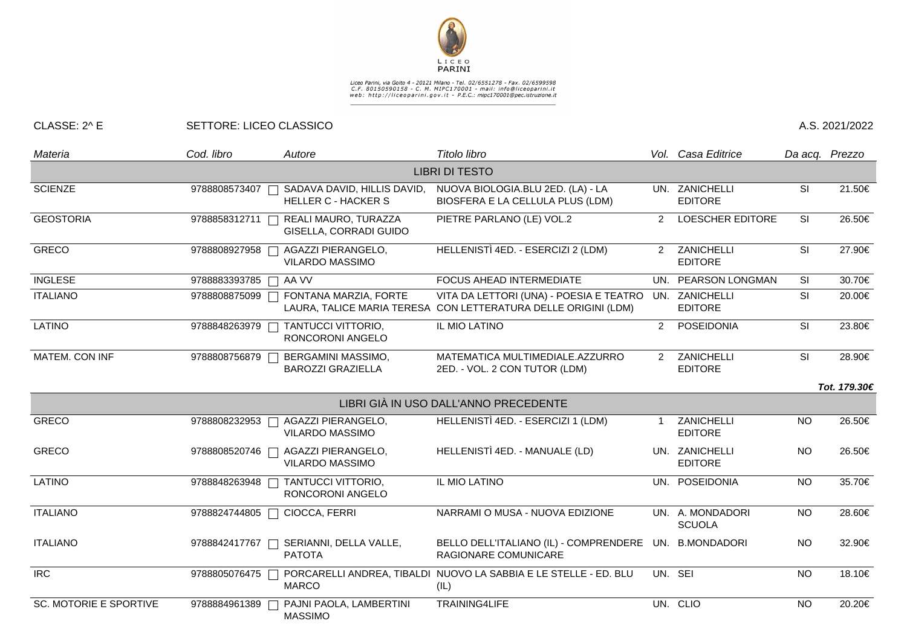

## Liceo Parini, via Goito 4 - 20121 Milano - Tel. 02/6551278 - Fax. 02/6599598<br>C.F. 80150590158 - C. M. MIPC170001 - mail: info@liceoparini.it<br>web: http://liceoparini.gov.it - P.E.C.: mipc170001@pec.istruzione.it

## CLASSE: 2^ E SETTORE: LICEO CLASSICO A.S. 2021/2022

| Materia                               | Cod. libro              | Autore                                                    | Titolo libro                                                                                              |                | Vol. Casa Editrice                | Da acq. Prezzo          |              |  |  |  |  |  |
|---------------------------------------|-------------------------|-----------------------------------------------------------|-----------------------------------------------------------------------------------------------------------|----------------|-----------------------------------|-------------------------|--------------|--|--|--|--|--|
| <b>LIBRI DI TESTO</b>                 |                         |                                                           |                                                                                                           |                |                                   |                         |              |  |  |  |  |  |
| <b>SCIENZE</b>                        | 9788808573407           | SADAVA DAVID, HILLIS DAVID,<br><b>HELLER C - HACKER S</b> | NUOVA BIOLOGIA.BLU 2ED. (LA) - LA<br>BIOSFERA E LA CELLULA PLUS (LDM)                                     |                | UN. ZANICHELLI<br><b>EDITORE</b>  | <b>SI</b>               | 21.50€       |  |  |  |  |  |
| <b>GEOSTORIA</b>                      | 9788858312711           | REALI MAURO, TURAZZA<br>GISELLA, CORRADI GUIDO            | PIETRE PARLANO (LE) VOL.2                                                                                 | 2              | <b>LOESCHER EDITORE</b>           | SI                      | 26.50€       |  |  |  |  |  |
| <b>GRECO</b>                          | 9788808927958           | AGAZZI PIERANGELO,<br><b>VILARDO MASSIMO</b>              | HELLENISTÌ 4ED. - ESERCIZI 2 (LDM)                                                                        |                | 2 ZANICHELLI<br><b>EDITORE</b>    | SI                      | 27.90€       |  |  |  |  |  |
| <b>INGLESE</b>                        | 9788883393785<br>$\Box$ | AA VV                                                     | FOCUS AHEAD INTERMEDIATE                                                                                  |                | UN. PEARSON LONGMAN               | SI                      | 30.70€       |  |  |  |  |  |
| <b>ITALIANO</b>                       | 9788808875099           | FONTANA MARZIA, FORTE                                     | VITA DA LETTORI (UNA) - POESIA E TEATRO<br>LAURA, TALICE MARIA TERESA CON LETTERATURA DELLE ORIGINI (LDM) |                | UN. ZANICHELLI<br><b>EDITORE</b>  | SI                      | 20.00€       |  |  |  |  |  |
| <b>LATINO</b>                         | 9788848263979           | TANTUCCI VITTORIO,<br>RONCORONI ANGELO                    | IL MIO LATINO                                                                                             | 2              | POSEIDONIA                        | <b>SI</b>               | 23.80€       |  |  |  |  |  |
| MATEM. CON INF                        | 9788808756879           | BERGAMINI MASSIMO,<br><b>BAROZZI GRAZIELLA</b>            | MATEMATICA MULTIMEDIALE.AZZURRO<br>2ED. - VOL. 2 CON TUTOR (LDM)                                          | 2              | ZANICHELLI<br><b>EDITORE</b>      | $\overline{\mathbf{s}}$ | 28.90€       |  |  |  |  |  |
|                                       |                         |                                                           |                                                                                                           |                |                                   |                         | Tot. 179.30€ |  |  |  |  |  |
| LIBRI GIÀ IN USO DALL'ANNO PRECEDENTE |                         |                                                           |                                                                                                           |                |                                   |                         |              |  |  |  |  |  |
| <b>GRECO</b>                          | 9788808232953           | AGAZZI PIERANGELO,<br><b>VILARDO MASSIMO</b>              | HELLENISTÌ 4ED. - ESERCIZI 1 (LDM)                                                                        | $\overline{1}$ | ZANICHELLI<br><b>EDITORE</b>      | <b>NO</b>               | 26.50€       |  |  |  |  |  |
| <b>GRECO</b>                          | 9788808520746           | AGAZZI PIERANGELO,<br><b>VILARDO MASSIMO</b>              | HELLENISTÌ 4ED. - MANUALE (LD)                                                                            |                | UN. ZANICHELLI<br><b>EDITORE</b>  | <b>NO</b>               | 26.50€       |  |  |  |  |  |
| <b>LATINO</b>                         | 9788848263948           | TANTUCCI VITTORIO,<br>RONCORONI ANGELO                    | IL MIO LATINO                                                                                             |                | UN. POSEIDONIA                    | <b>NO</b>               | 35.70€       |  |  |  |  |  |
| <b>ITALIANO</b>                       | 9788824744805<br>$\Box$ | CIOCCA, FERRI                                             | NARRAMI O MUSA - NUOVA EDIZIONE                                                                           |                | UN. A. MONDADORI<br><b>SCUOLA</b> | <b>NO</b>               | 28.60€       |  |  |  |  |  |
| <b>ITALIANO</b>                       | 9788842417767           | SERIANNI, DELLA VALLE,<br><b>PATOTA</b>                   | BELLO DELL'ITALIANO (IL) - COMPRENDERE<br>RAGIONARE COMUNICARE                                            |                | UN. B.MONDADORI                   | <b>NO</b>               | 32.90€       |  |  |  |  |  |
| <b>IRC</b>                            | 9788805076475           | П<br><b>MARCO</b>                                         | PORCARELLI ANDREA, TIBALDI NUOVO LA SABBIA E LE STELLE - ED. BLU<br>(IL)                                  |                | UN. SEI                           | <b>NO</b>               | 18.10€       |  |  |  |  |  |
| <b>SC. MOTORIE E SPORTIVE</b>         | 9788884961389           | PAJNI PAOLA, LAMBERTINI<br><b>MASSIMO</b>                 | TRAINING4LIFE                                                                                             |                | UN. CLIO                          | <b>NO</b>               | 20.20€       |  |  |  |  |  |